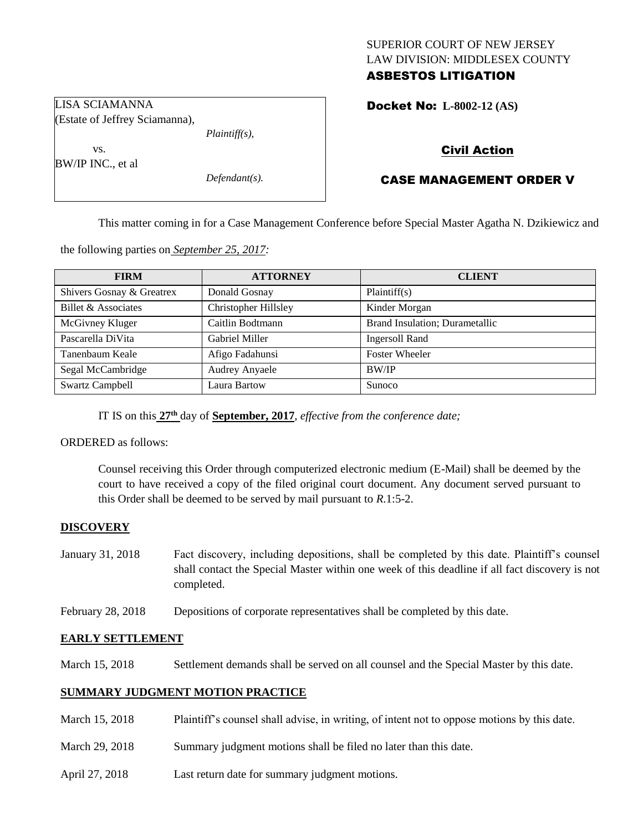# SUPERIOR COURT OF NEW JERSEY LAW DIVISION: MIDDLESEX COUNTY ASBESTOS LITIGATION

Docket No: **L-8002-12 (AS)** 

(Estate of Jeffrey Sciamanna), *Plaintiff(s),*

*Defendant(s).*

Civil Action

# CASE MANAGEMENT ORDER V

This matter coming in for a Case Management Conference before Special Master Agatha N. Dzikiewicz and

the following parties on *September 25, 2017:*

| <b>FIRM</b>               | <b>ATTORNEY</b>       | <b>CLIENT</b>                  |
|---------------------------|-----------------------|--------------------------------|
| Shivers Gosnay & Greatrex | Donald Gosnay         | Plaintiff(s)                   |
| Billet & Associates       | Christopher Hillsley  | Kinder Morgan                  |
| McGivney Kluger           | Caitlin Bodtmann      | Brand Insulation; Durametallic |
| Pascarella DiVita         | Gabriel Miller        | Ingersoll Rand                 |
| Tanenbaum Keale           | Afigo Fadahunsi       | <b>Foster Wheeler</b>          |
| Segal McCambridge         | <b>Audrey Anyaele</b> | <b>BW/IP</b>                   |
| <b>Swartz Campbell</b>    | Laura Bartow          | Sunoco                         |

IT IS on this **27th** day of **September, 2017**, *effective from the conference date;*

ORDERED as follows:

LISA SCIAMANNA

vs. BW/IP INC., et al

> Counsel receiving this Order through computerized electronic medium (E-Mail) shall be deemed by the court to have received a copy of the filed original court document. Any document served pursuant to this Order shall be deemed to be served by mail pursuant to *R*.1:5-2.

## **DISCOVERY**

- January 31, 2018 Fact discovery, including depositions, shall be completed by this date. Plaintiff's counsel shall contact the Special Master within one week of this deadline if all fact discovery is not completed.
- February 28, 2018 Depositions of corporate representatives shall be completed by this date.

## **EARLY SETTLEMENT**

March 15, 2018 Settlement demands shall be served on all counsel and the Special Master by this date.

# **SUMMARY JUDGMENT MOTION PRACTICE**

- March 15, 2018 Plaintiff's counsel shall advise, in writing, of intent not to oppose motions by this date.
- March 29, 2018 Summary judgment motions shall be filed no later than this date.
- April 27, 2018 Last return date for summary judgment motions.